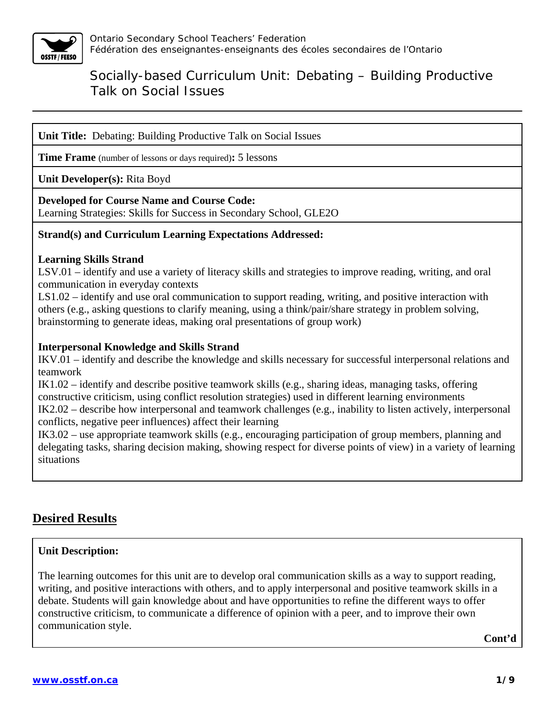

**Unit Title:** Debating: Building Productive Talk on Social Issues

**Time Frame** (number of lessons or days required)**:** 5 lessons

**Unit Developer(s):** Rita Boyd

#### **Developed for Course Name and Course Code:**

Learning Strategies: Skills for Success in Secondary School, GLE2O

#### **Strand(s) and Curriculum Learning Expectations Addressed:**

#### **Learning Skills Strand**

LSV.01 – identify and use a variety of literacy skills and strategies to improve reading, writing, and oral communication in everyday contexts

LS1.02 – identify and use oral communication to support reading, writing, and positive interaction with others (e.g., asking questions to clarify meaning, using a think/pair/share strategy in problem solving, brainstorming to generate ideas, making oral presentations of group work)

#### **Interpersonal Knowledge and Skills Strand**

IKV.01 – identify and describe the knowledge and skills necessary for successful interpersonal relations and teamwork

IK1.02 – identify and describe positive teamwork skills (e.g., sharing ideas, managing tasks, offering constructive criticism, using conflict resolution strategies) used in different learning environments IK2.02 – describe how interpersonal and teamwork challenges (e.g., inability to listen actively, interpersonal conflicts, negative peer influences) affect their learning

IK3.02 – use appropriate teamwork skills (e.g., encouraging participation of group members, planning and delegating tasks, sharing decision making, showing respect for diverse points of view) in a variety of learning situations

### **Desired Results**

#### **Unit Description:**

The learning outcomes for this unit are to develop oral communication skills as a way to support reading, writing, and positive interactions with others, and to apply interpersonal and positive teamwork skills in a debate. Students will gain knowledge about and have opportunities to refine the different ways to offer constructive criticism, to communicate a difference of opinion with a peer, and to improve their own communication style.

**Cont'd**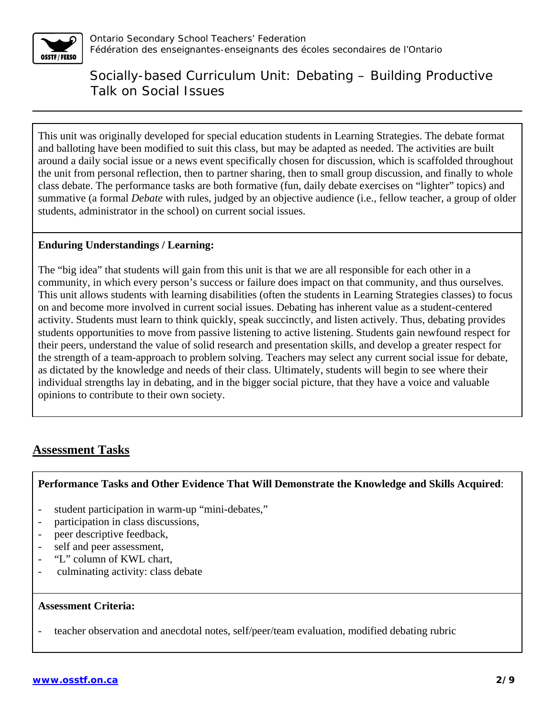

This unit was originally developed for special education students in Learning Strategies. The debate format and balloting have been modified to suit this class, but may be adapted as needed. The activities are built around a daily social issue or a news event specifically chosen for discussion, which is scaffolded throughout the unit from personal reflection, then to partner sharing, then to small group discussion, and finally to whole class debate. The performance tasks are both formative (fun, daily debate exercises on "lighter" topics) and summative (a formal *Debate* with rules, judged by an objective audience (i.e., fellow teacher, a group of older students, administrator in the school) on current social issues.

#### **Enduring Understandings / Learning:**

The "big idea" that students will gain from this unit is that we are all responsible for each other in a community, in which every person's success or failure does impact on that community, and thus ourselves. This unit allows students with learning disabilities (often the students in Learning Strategies classes) to focus on and become more involved in current social issues. Debating has inherent value as a student-centered activity. Students must learn to think quickly, speak succinctly, and listen actively. Thus, debating provides students opportunities to move from passive listening to active listening. Students gain newfound respect for their peers, understand the value of solid research and presentation skills, and develop a greater respect for the strength of a team-approach to problem solving. Teachers may select any current social issue for debate, as dictated by the knowledge and needs of their class. Ultimately, students will begin to see where their individual strengths lay in debating, and in the bigger social picture, that they have a voice and valuable opinions to contribute to their own society.

### **Assessment Tasks**

#### **Performance Tasks and Other Evidence That Will Demonstrate the Knowledge and Skills Acquired**:

- student participation in warm-up "mini-debates,"
- participation in class discussions,
- peer descriptive feedback,
- self and peer assessment,
- "L" column of KWL chart,
- culminating activity: class debate

#### **Assessment Criteria:**

- teacher observation and anecdotal notes, self/peer/team evaluation, modified debating rubric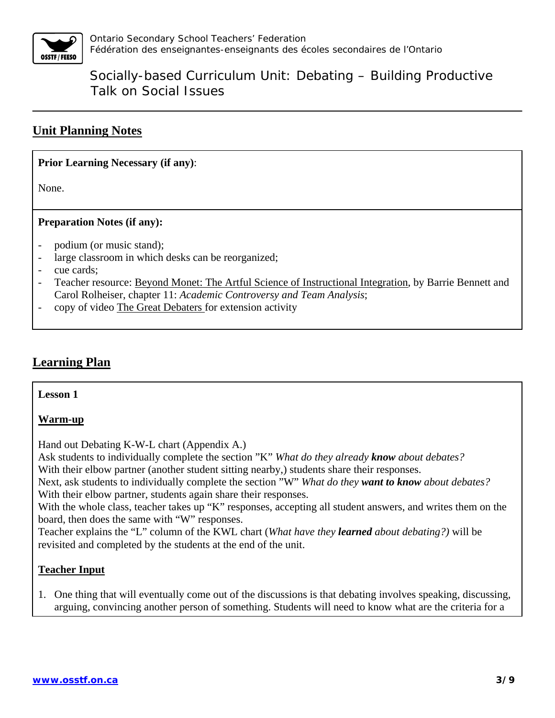

### **Unit Planning Notes**

#### **Prior Learning Necessary (if any)**:

None.

#### **Preparation Notes (if any):**

- podium (or music stand);
- large classroom in which desks can be reorganized;
- cue cards;
- Teacher resource: Beyond Monet: The Artful Science of Instructional Integration, by Barrie Bennett and Carol Rolheiser, chapter 11: *Academic Controversy and Team Analysis*;
- copy of video The Great Debaters for extension activity

### **Learning Plan**

#### **Lesson 1**

#### **Warm-up**

Hand out Debating K-W-L chart (Appendix A.)

Ask students to individually complete the section "K" *What do they already know about debates?* 

With their elbow partner (another student sitting nearby,) students share their responses.

Next, ask students to individually complete the section "W" *What do they want to know about debates?*  With their elbow partner, students again share their responses.

With the whole class, teacher takes up "K" responses, accepting all student answers, and writes them on the board, then does the same with "W" responses.

Teacher explains the "L" column of the KWL chart (*What have they learned about debating?)* will be revisited and completed by the students at the end of the unit.

#### **Teacher Input**

1. One thing that will eventually come out of the discussions is that debating involves speaking, discussing, arguing, convincing another person of something. Students will need to know what are the criteria for a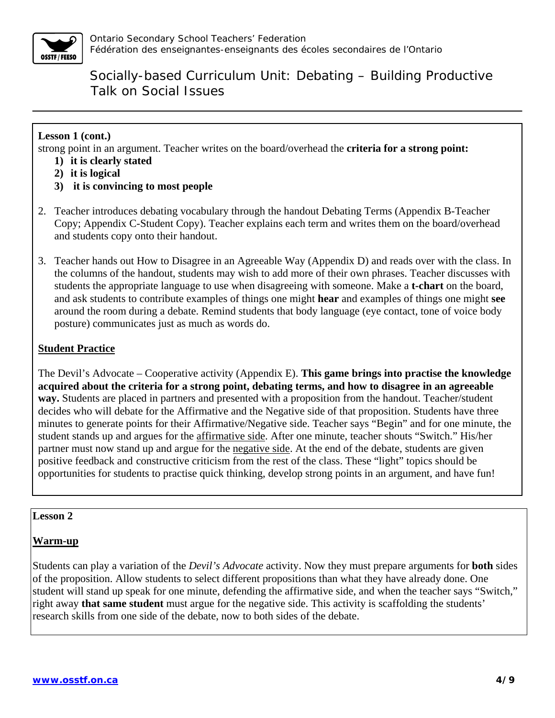

#### **Lesson 1 (cont.)**

strong point in an argument. Teacher writes on the board/overhead the **criteria for a strong point:** 

- **1) it is clearly stated**
- **2) it is logical**
- **3) it is convincing to most people**
- 2. Teacher introduces debating vocabulary through the handout Debating Terms (Appendix B-Teacher Copy; Appendix C-Student Copy). Teacher explains each term and writes them on the board/overhead and students copy onto their handout.
- 3. Teacher hands out How to Disagree in an Agreeable Way (Appendix D) and reads over with the class. In the columns of the handout, students may wish to add more of their own phrases. Teacher discusses with students the appropriate language to use when disagreeing with someone. Make a **t-chart** on the board, and ask students to contribute examples of things one might **hear** and examples of things one might **see** around the room during a debate. Remind students that body language (eye contact, tone of voice body posture) communicates just as much as words do.

#### **Student Practice**

The Devil's Advocate – Cooperative activity (Appendix E). **This game brings into practise the knowledge acquired about the criteria for a strong point, debating terms, and how to disagree in an agreeable way.** Students are placed in partners and presented with a proposition from the handout. Teacher/student decides who will debate for the Affirmative and the Negative side of that proposition. Students have three minutes to generate points for their Affirmative/Negative side. Teacher says "Begin" and for one minute, the student stands up and argues for the affirmative side. After one minute, teacher shouts "Switch." His/her partner must now stand up and argue for the negative side. At the end of the debate, students are given positive feedback and constructive criticism from the rest of the class. These "light" topics should be opportunities for students to practise quick thinking, develop strong points in an argument, and have fun!

#### **Lesson 2**

#### **Warm-up**

Students can play a variation of the *Devil's Advocate* activity. Now they must prepare arguments for **both** sides of the proposition. Allow students to select different propositions than what they have already done. One student will stand up speak for one minute, defending the affirmative side, and when the teacher says "Switch," right away **that same student** must argue for the negative side. This activity is scaffolding the students' research skills from one side of the debate, now to both sides of the debate.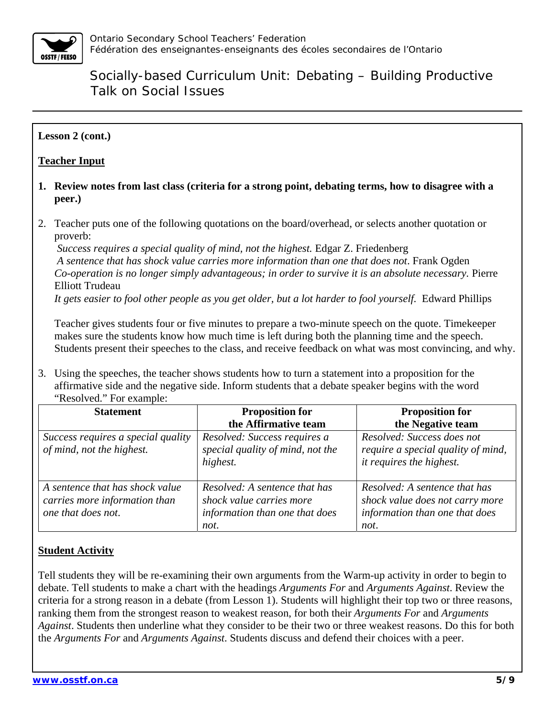

#### **Lesson 2 (cont.)**

#### **Teacher Input**

- **1. Review notes from last class (criteria for a strong point, debating terms, how to disagree with a peer.)**
- 2. Teacher puts one of the following quotations on the board/overhead, or selects another quotation or proverb:

*Success requires a special quality of mind, not the highest.* Edgar Z. Friedenberg  *A sentence that has shock value carries more information than one that does not*. Frank Ogden *Co-operation is no longer simply advantageous; in order to survive it is an absolute necessary.* Pierre Elliott Trudeau

*It gets easier to fool other people as you get older, but a lot harder to fool yourself.* Edward Phillips

Teacher gives students four or five minutes to prepare a two-minute speech on the quote. Timekeeper makes sure the students know how much time is left during both the planning time and the speech. Students present their speeches to the class, and receive feedback on what was most convincing, and why.

3. Using the speeches, the teacher shows students how to turn a statement into a proposition for the affirmative side and the negative side. Inform students that a debate speaker begins with the word "Resolved." For example:

| <b>Statement</b>                                                                       | <b>Proposition for</b><br>the Affirmative team                                                      | <b>Proposition for</b><br>the Negative team                                                                |
|----------------------------------------------------------------------------------------|-----------------------------------------------------------------------------------------------------|------------------------------------------------------------------------------------------------------------|
| Success requires a special quality<br>of mind, not the highest.                        | Resolved: Success requires a<br>special quality of mind, not the<br>highest.                        | Resolved: Success does not<br>require a special quality of mind,<br>it requires the highest.               |
| A sentence that has shock value<br>carries more information than<br>one that does not. | Resolved: A sentence that has<br>shock value carries more<br>information than one that does<br>not. | Resolved: A sentence that has<br>shock value does not carry more<br>information than one that does<br>not. |

#### **Student Activity**

Tell students they will be re-examining their own arguments from the Warm-up activity in order to begin to debate. Tell students to make a chart with the headings *Arguments For* and *Arguments Against*. Review the criteria for a strong reason in a debate (from Lesson 1). Students will highlight their top two or three reasons, ranking them from the strongest reason to weakest reason, for both their *Arguments For* and *Arguments Against*. Students then underline what they consider to be their two or three weakest reasons. Do this for both the *Arguments For* and *Arguments Against*. Students discuss and defend their choices with a peer.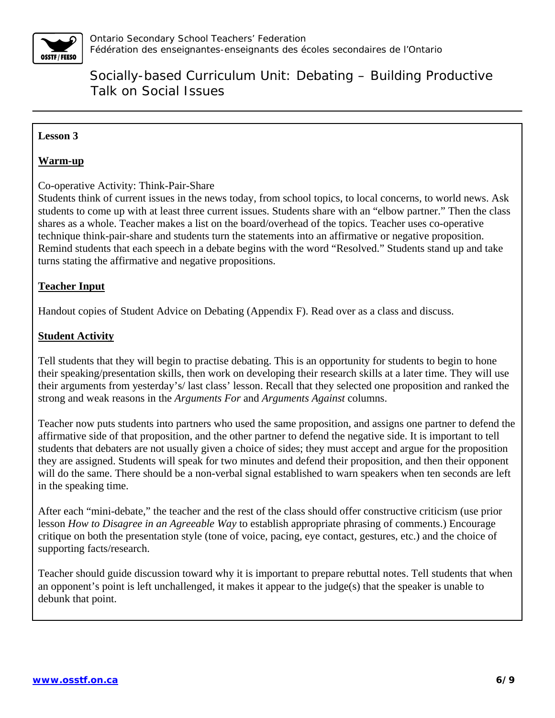

### **Lesson 3**

#### **Warm-up**

Co-operative Activity: Think-Pair-Share

Students think of current issues in the news today, from school topics, to local concerns, to world news. Ask students to come up with at least three current issues. Students share with an "elbow partner." Then the class shares as a whole. Teacher makes a list on the board/overhead of the topics. Teacher uses co-operative technique think-pair-share and students turn the statements into an affirmative or negative proposition. Remind students that each speech in a debate begins with the word "Resolved." Students stand up and take turns stating the affirmative and negative propositions.

#### **Teacher Input**

Handout copies of Student Advice on Debating (Appendix F). Read over as a class and discuss.

#### **Student Activity**

Tell students that they will begin to practise debating. This is an opportunity for students to begin to hone their speaking/presentation skills, then work on developing their research skills at a later time. They will use their arguments from yesterday's/ last class' lesson. Recall that they selected one proposition and ranked the strong and weak reasons in the *Arguments For* and *Arguments Against* columns.

Teacher now puts students into partners who used the same proposition, and assigns one partner to defend the affirmative side of that proposition, and the other partner to defend the negative side. It is important to tell students that debaters are not usually given a choice of sides; they must accept and argue for the proposition they are assigned. Students will speak for two minutes and defend their proposition, and then their opponent will do the same. There should be a non-verbal signal established to warn speakers when ten seconds are left in the speaking time.

After each "mini-debate," the teacher and the rest of the class should offer constructive criticism (use prior lesson *How to Disagree in an Agreeable Way* to establish appropriate phrasing of comments.) Encourage critique on both the presentation style (tone of voice, pacing, eye contact, gestures, etc.) and the choice of supporting facts/research.

Teacher should guide discussion toward why it is important to prepare rebuttal notes. Tell students that when an opponent's point is left unchallenged, it makes it appear to the judge(s) that the speaker is unable to debunk that point.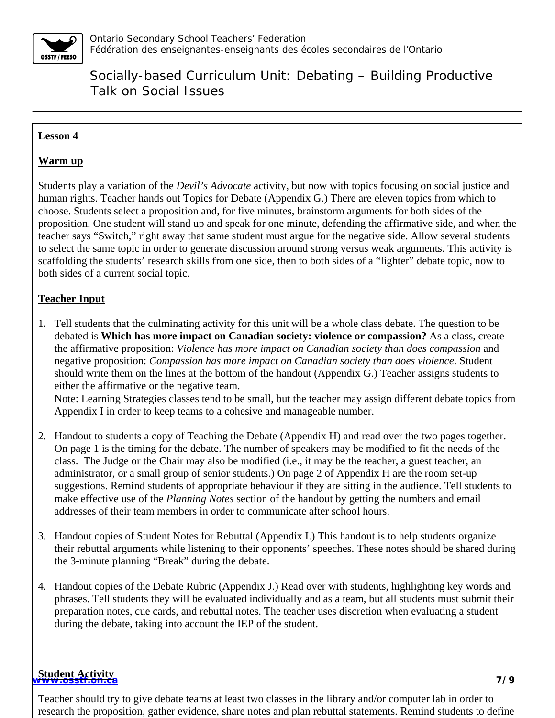

#### **Lesson 4**

#### **Warm up**

Students play a variation of the *Devil's Advocate* activity, but now with topics focusing on social justice and human rights. Teacher hands out Topics for Debate (Appendix G.) There are eleven topics from which to choose. Students select a proposition and, for five minutes, brainstorm arguments for both sides of the proposition. One student will stand up and speak for one minute, defending the affirmative side, and when the teacher says "Switch," right away that same student must argue for the negative side. Allow several students to select the same topic in order to generate discussion around strong versus weak arguments. This activity is scaffolding the students' research skills from one side, then to both sides of a "lighter" debate topic, now to both sides of a current social topic.

### **Teacher Input**

1. Tell students that the culminating activity for this unit will be a whole class debate. The question to be debated is **Which has more impact on Canadian society: violence or compassion?** As a class, create the affirmative proposition: *Violence has more impact on Canadian society than does compassion* and negative proposition: *Compassion has more impact on Canadian society than does violence*. Student should write them on the lines at the bottom of the handout (Appendix G.) Teacher assigns students to either the affirmative or the negative team. Note: Learning Strategies classes tend to be small, but the teacher may assign different debate topics from

Appendix I in order to keep teams to a cohesive and manageable number.

- 2. Handout to students a copy of Teaching the Debate (Appendix H) and read over the two pages together. On page 1 is the timing for the debate. The number of speakers may be modified to fit the needs of the class. The Judge or the Chair may also be modified (i.e., it may be the teacher, a guest teacher, an administrator, or a small group of senior students.) On page 2 of Appendix H are the room set-up suggestions. Remind students of appropriate behaviour if they are sitting in the audience. Tell students to make effective use of the *Planning Notes* section of the handout by getting the numbers and email addresses of their team members in order to communicate after school hours.
- 3. Handout copies of Student Notes for Rebuttal (Appendix I.) This handout is to help students organize their rebuttal arguments while listening to their opponents' speeches. These notes should be shared during the 3-minute planning "Break" during the debate.
- 4. Handout copies of the Debate Rubric (Appendix J.) Read over with students, highlighting key words and phrases. Tell students they will be evaluated individually and as a team, but all students must submit their preparation notes, cue cards, and rebuttal notes. The teacher uses discretion when evaluating a student during the debate, taking into account the IEP of the student.

#### **www.osstf.on.ca 7/9 Student Activity**

Teacher should try to give debate teams at least two classes in the library and/or computer lab in order to research the proposition, gather evidence, share notes and plan rebuttal statements. Remind students to define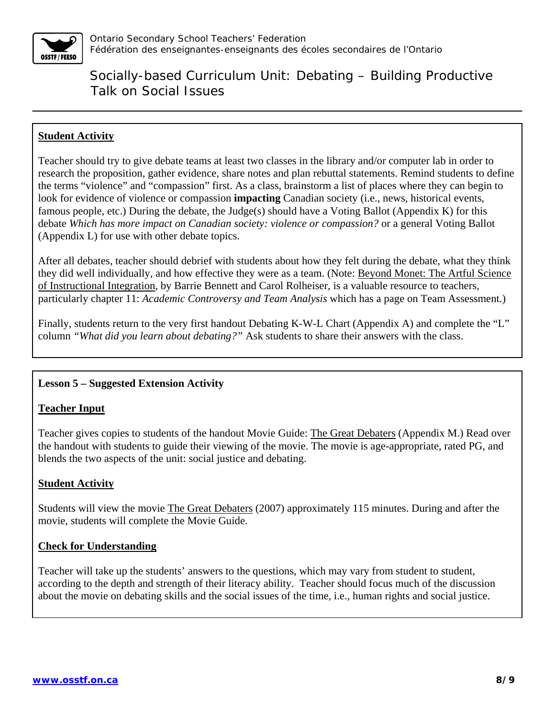

#### **Student Activity**

Teacher should try to give debate teams at least two classes in the library and/or computer lab in order to research the proposition, gather evidence, share notes and plan rebuttal statements. Remind students to define the terms "violence" and "compassion" first. As a class, brainstorm a list of places where they can begin to look for evidence of violence or compassion **impacting** Canadian society (i.e., news, historical events, famous people, etc.) During the debate, the Judge(s) should have a Voting Ballot (Appendix K) for this debate *Which has more impact on Canadian society: violence or compassion?* or a general Voting Ballot (Appendix L) for use with other debate topics.

After all debates, teacher should debrief with students about how they felt during the debate, what they think they did well individually, and how effective they were as a team. (Note: Beyond Monet: The Artful Science of Instructional Integration, by Barrie Bennett and Carol Rolheiser, is a valuable resource to teachers, particularly chapter 11: *Academic Controversy and Team Analysis* which has a page on Team Assessment.)

Finally, students return to the very first handout Debating K-W-L Chart (Appendix A) and complete the "L" column *"What did you learn about debating?"* Ask students to share their answers with the class.

#### **Lesson 5 – Suggested Extension Activity**

#### **Teacher Input**

Teacher gives copies to students of the handout Movie Guide: The Great Debaters (Appendix M.) Read over the handout with students to guide their viewing of the movie. The movie is age-appropriate, rated PG, and blends the two aspects of the unit: social justice and debating.

#### **Student Activity**

Students will view the movie The Great Debaters (2007) approximately 115 minutes. During and after the movie, students will complete the Movie Guide.

#### **Check for Understanding**

Teacher will take up the students' answers to the questions, which may vary from student to student, according to the depth and strength of their literacy ability. Teacher should focus much of the discussion about the movie on debating skills and the social issues of the time, i.e., human rights and social justice.